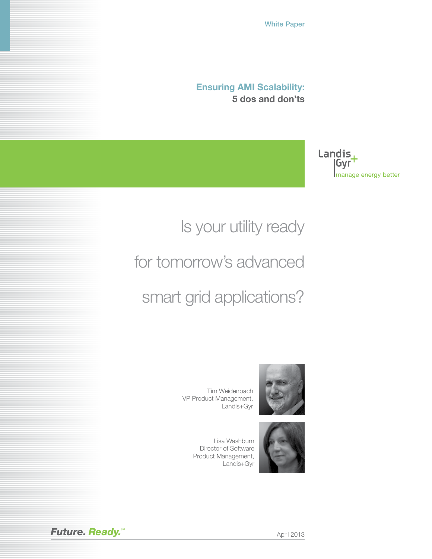White Paper

**Ensuring AMI Scalability: 5 dos and don'ts**

> Landis, |Gyr manage energy better

# Is your utility ready

for tomorrow's advanced

smart grid applications?

Tim Weidenbach VP Product Management, Landis+Gyr







**Future. Ready.** Metal **Ready.** April 2013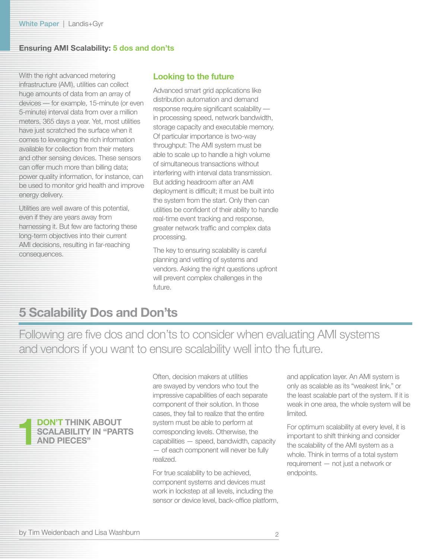With the right advanced metering infrastructure (AMI), utilities can collect huge amounts of data from an array of devices –– for example, 15-minute (or even 5-minute) interval data from over a million meters, 365 days a year. Yet, most utilities have just scratched the surface when it comes to leveraging the rich information available for collection from their meters and other sensing devices. These sensors can offer much more than billing data; power quality information, for instance, can be used to monitor grid health and improve energy delivery.

Utilities are well aware of this potential, even if they are years away from harnessing it. But few are factoring these long-term objectives into their current AMI decisions, resulting in far-reaching consequences.

### **Looking to the future**

Advanced smart grid applications like distribution automation and demand response require significant scalability –– in processing speed, network bandwidth, storage capacity and executable memory. Of particular importance is two-way throughput: The AMI system must be able to scale up to handle a high volume of simultaneous transactions without interfering with interval data transmission. But adding headroom after an AMI deployment is difficult; it must be built into the system from the start. Only then can utilities be confident of their ability to handle real-time event tracking and response, greater network traffic and complex data processing.

The key to ensuring scalability is careful planning and vetting of systems and vendors. Asking the right questions upfront will prevent complex challenges in the future.

## **5 Scalability Dos and Don'ts**

Following are five dos and don'ts to consider when evaluating AMI systems and vendors if you want to ensure scalability well into the future.



Often, decision makers at utilities are swayed by vendors who tout the impressive capabilities of each separate component of their solution. In those cases, they fail to realize that the entire system must be able to perform at corresponding levels. Otherwise, the capabilities — speed, bandwidth, capacity — of each component will never be fully realized.

For true scalability to be achieved, component systems and devices must work in lockstep at all levels, including the sensor or device level, back-office platform, and application layer. An AMI system is only as scalable as its "weakest link," or the least scalable part of the system. If it is weak in one area, the whole system will be limited.

For optimum scalability at every level, it is important to shift thinking and consider the scalability of the AMI system as a whole. Think in terms of a total system requirement — not just a network or endpoints.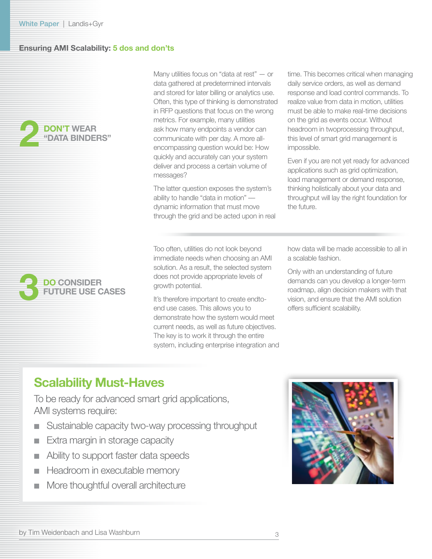



Many utilities focus on "data at rest" — or data gathered at predetermined intervals and stored for later billing or analytics use. Often, this type of thinking is demonstrated in RFP questions that focus on the wrong metrics. For example, many utilities ask how many endpoints a vendor can communicate with per day. A more allencompassing question would be: How quickly and accurately can your system deliver and process a certain volume of messages?

The latter question exposes the system's ability to handle "data in motion" –– dynamic information that must move through the grid and be acted upon in real

Too often, utilities do not look beyond immediate needs when choosing an AMI solution. As a result, the selected system does not provide appropriate levels of growth potential.

It's therefore important to create endtoend use cases. This allows you to demonstrate how the system would meet current needs, as well as future objectives. The key is to work it through the entire system, including enterprise integration and

time. This becomes critical when managing daily service orders, as well as demand response and load control commands. To realize value from data in motion, utilities must be able to make real-time decisions on the grid as events occur. Without headroom in twoprocessing throughput, this level of smart grid management is impossible.

Even if you are not yet ready for advanced applications such as grid optimization, load management or demand response, thinking holistically about your data and throughput will lay the right foundation for the future.

how data will be made accessible to all in a scalable fashion.

Only with an understanding of future demands can you develop a longer-term roadmap, align decision makers with that vision, and ensure that the AMI solution offers sufficient scalability.

## **Scalability Must-Haves**

To be ready for advanced smart grid applications, AMI systems require:

- Sustainable capacity two-way processing throughput
- Extra margin in storage capacity
- Ability to support faster data speeds
- Headroom in executable memory
- More thoughtful overall architecture

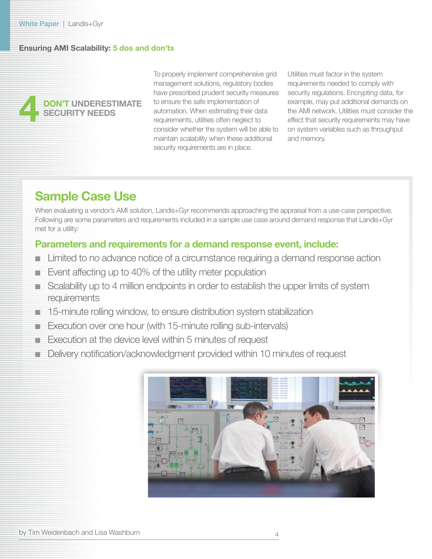## **4 DON'T UNDERESTIMATE SECURITY NEEDS**

To properly implement comprehensive grid management solutions, regulatory bodies have prescribed prudent security measures to ensure the safe implementation of automation. When estimating their data requirements, utilities often neglect to consider whether the system will be able to maintain scalability when these additional security requirements are in place.

Utilities must factor in the system requirements needed to comply with security regulations. Encrypting data, for example, may put additional demands on the AMI network. Utilities must consider the effect that security requirements may have on system variables such as throughput and memory.

## **Sample Case Use**

When evaluating a vendor's AMI solution, Landis+Gyr recommends approaching the appraisal from a use-case perspective. Following are some parameters and requirements included in a sample use case around demand response that Landis+Gyr met for a utility:

## **Parameters and requirements for a demand response event, include:**

- Limited to no advance notice of a circumstance requiring a demand response action
- Event affecting up to 40% of the utility meter population
- Scalability up to 4 million endpoints in order to establish the upper limits of system requirements
- 15-minute rolling window, to ensure distribution system stabilization
- Execution over one hour (with 15-minute rolling sub-intervals)
- Execution at the device level within 5 minutes of request
- Delivery notification/acknowledgment provided within 10 minutes of request